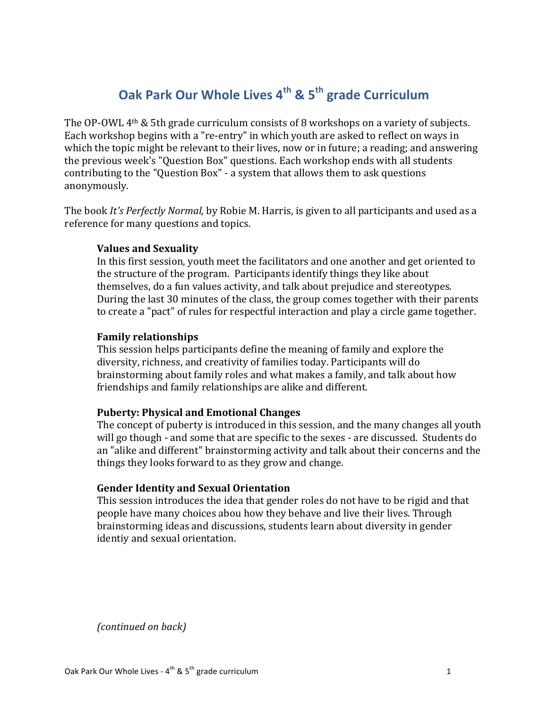# **Oak Park Our Whole Lives 4th & 5th grade Curriculum**

The OP-OWL  $4<sup>th</sup>$  & 5th grade curriculum consists of 8 workshops on a variety of subjects. Each workshop begins with a "re-entry" in which youth are asked to reflect on ways in which the topic might be relevant to their lives, now or in future; a reading; and answering the previous week's "Question Box" questions. Each workshop ends with all students contributing to the "Question Box" - a system that allows them to ask questions anonymously. 

The book *It's Perfectly Normal*, by Robie M. Harris, is given to all participants and used as a reference for many questions and topics.

## **Values and Sexuality**

In this first session, youth meet the facilitators and one another and get oriented to the structure of the program. Participants identify things they like about themselves, do a fun values activity, and talk about prejudice and stereotypes. During the last 30 minutes of the class, the group comes together with their parents to create a "pact" of rules for respectful interaction and play a circle game together.

## **Family relationships**

This session helps participants define the meaning of family and explore the diversity, richness, and creativity of families today. Participants will do brainstorming about family roles and what makes a family, and talk about how friendships and family relationships are alike and different.

## **Puberty: Physical and Emotional Changes**

The concept of puberty is introduced in this session, and the many changes all youth will go though - and some that are specific to the sexes - are discussed. Students do an "alike and different" brainstorming activity and talk about their concerns and the things they looks forward to as they grow and change.

## **Gender Identity and Sexual Orientation**

This session introduces the idea that gender roles do not have to be rigid and that people have many choices abou how they behave and live their lives. Through brainstorming ideas and discussions, students learn about diversity in gender identiy and sexual orientation.

*(continued on back)*